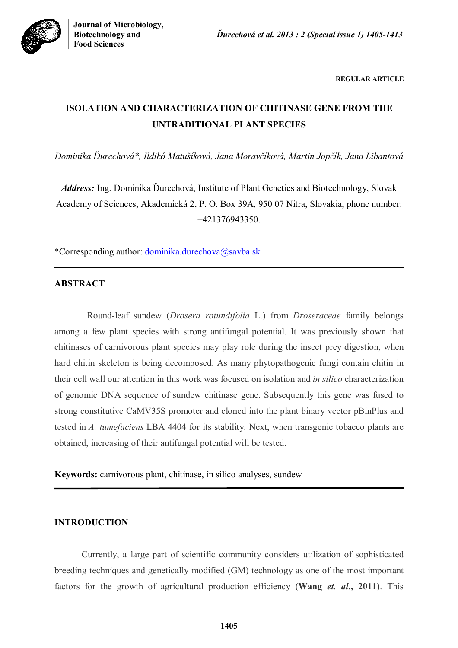**REGULAR ARTICLE**

# **ISOLATION AND CHARACTERIZATION OF CHITINASE GENE FROM THE UNTRADITIONAL PLANT SPECIES**

*Dominika Ďurechová\*, Ildikó Matušíková, Jana Moravčíková, Martin Jopčík, Jana Libantová*

*Address:* Ing. Dominika Ďurechová, Institute of Plant Genetics and Biotechnology, Slovak Academy of Sciences, Akademická 2, P. O. Box 39A, 950 07 Nitra, Slovakia, phone number: +421376943350.

\*Corresponding author: dominika.durechova@savba.sk

# **ABSTRACT**

Round-leaf sundew (*Drosera rotundifolia* L.) from *Droseraceae* family belongs among a few plant species with strong antifungal potential. It was previously shown that chitinases of carnivorous plant species may play role during the insect prey digestion, when hard chitin skeleton is being decomposed. As many phytopathogenic fungi contain chitin in their cell wall our attention in this work was focused on isolation and *in silico* characterization of genomic DNA sequence of sundew chitinase gene. Subsequently this gene was fused to strong constitutive CaMV35S promoter and cloned into the plant binary vector pBinPlus and tested in *A. tumefaciens* LBA 4404 for its stability. Next, when transgenic tobacco plants are obtained, increasing of their antifungal potential will be tested.

**Keywords:** carnivorous plant, chitinase, in silico analyses, sundew

# **INTRODUCTION**

Currently, a large part of scientific community considers utilization of sophisticated breeding techniques and genetically modified (GM) technology as one of the most important factors for the growth of agricultural production efficiency (**Wang** *et. al***., 2011**). This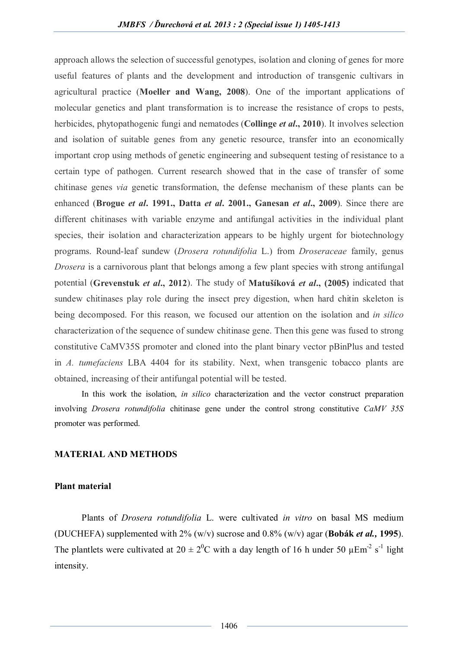approach allows the selection of successful genotypes, isolation and cloning of genes for more useful features of plants and the development and introduction of transgenic cultivars in agricultural practice (**Moeller and Wang, 2008**). One of the important applications of molecular genetics and plant transformation is to increase the resistance of crops to pests, herbicides, phytopathogenic fungi and nematodes (**Collinge** *et al***., 2010**). It involves selection and isolation of suitable genes from any genetic resource, transfer into an economically important crop using methods of genetic engineering and subsequent testing of resistance to a certain type of pathogen. Current research showed that in the case of transfer of some chitinase genes *via* genetic transformation, the defense mechanism of these plants can be enhanced (**Brogue** *et al***. 1991., Datta** *et al***. 2001., Ganesan** *et al***., 2009**). Since there are different chitinases with variable enzyme and antifungal activities in the individual plant species, their isolation and characterization appears to be highly urgent for biotechnology programs. Round-leaf sundew (*Drosera rotundifolia* L.) from *Droseraceae* family, genus *Drosera* is a carnivorous plant that belongs among a few plant species with strong antifungal potential (**Grevenstuk** *et al***., 2012**). The study of **Matušíková** *et al***., (2005)** indicated that sundew chitinases play role during the insect prey digestion, when hard chitin skeleton is being decomposed. For this reason, we focused our attention on the isolation and *in silico* characterization of the sequence of sundew chitinase gene. Then this gene was fused to strong constitutive CaMV35S promoter and cloned into the plant binary vector pBinPlus and tested in *A. tumefaciens* LBA 4404 for its stability. Next, when transgenic tobacco plants are obtained, increasing of their antifungal potential will be tested.

In this work the isolation, *in silico* characterization and the vector construct preparation involving *Drosera rotundifolia* chitinase gene under the control strong constitutive *CaMV 35S* promoter was performed.

# **MATERIAL AND METHODS**

# **Plant material**

Plants of *Drosera rotundifolia* L. were cultivated *in vitro* on basal MS medium (DUCHEFA) supplemented with 2% (w/v) sucrose and 0.8% (w/v) agar (**Bobák** *et al.,* **1995**). The plantlets were cultivated at  $20 \pm 2^{0}C$  with a day length of 16 h under 50  $\mu$ Em<sup>-2</sup> s<sup>-1</sup> light intensity.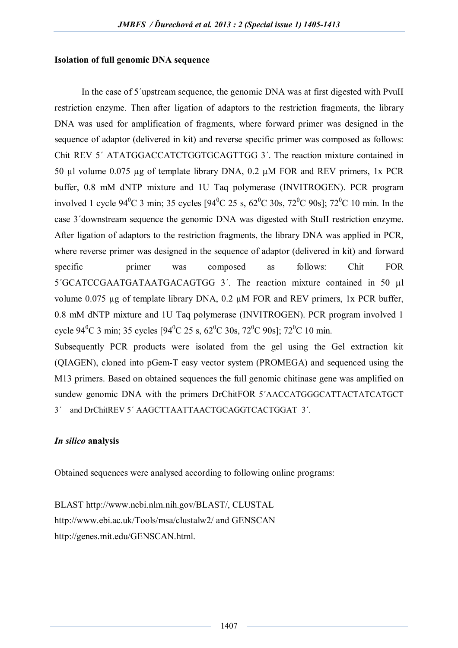# **Isolation of full genomic DNA sequence**

In the case of 5´upstream sequence, the genomic DNA was at first digested with PvuII restriction enzyme. Then after ligation of adaptors to the restriction fragments, the library DNA was used for amplification of fragments, where forward primer was designed in the sequence of adaptor (delivered in kit) and reverse specific primer was composed as follows: Chit REV 5´ ATATGGACCATCTGGTGCAGTTGG 3´. The reaction mixture contained in 50 µl volume 0.075 µg of template library DNA, 0.2 µM FOR and REV primers, 1x PCR buffer, 0.8 mM dNTP mixture and 1U Taq polymerase (INVITROGEN). PCR program involved 1 cycle  $94^{\circ}$ C 3 min; 35 cycles  $[94^{\circ}$ C 25 s,  $62^{\circ}$ C 30s,  $72^{\circ}$ C 90s1;  $72^{\circ}$ C 10 min. In the case 3´downstream sequence the genomic DNA was digested with StuII restriction enzyme. After ligation of adaptors to the restriction fragments, the library DNA was applied in PCR, where reverse primer was designed in the sequence of adaptor (delivered in kit) and forward specific primer was composed as follows: Chit FOR 5´GCATCCGAATGATAATGACAGTGG 3´. The reaction mixture contained in 50 µl volume 0.075 µg of template library DNA, 0.2 µM FOR and REV primers, 1x PCR buffer, 0.8 mM dNTP mixture and 1U Taq polymerase (INVITROGEN). PCR program involved 1 cycle 94<sup>0</sup>C 3 min; 35 cycles [94<sup>0</sup>C 25 s, 62<sup>0</sup>C 30s, 72<sup>0</sup>C 90s]; 72<sup>0</sup>C 10 min.

Subsequently PCR products were isolated from the gel using the Gel extraction kit (QIAGEN), cloned into pGem-T easy vector system (PROMEGA) and sequenced using the M13 primers. Based on obtained sequences the full genomic chitinase gene was amplified on sundew genomic DNA with the primers DrChitFOR 5´AACCATGGGCATTACTATCATGCT 3´ and DrChitREV 5´ AAGCTTAATTAACTGCAGGTCACTGGAT 3´.

# *In silico* **analysis**

Obtained sequences were analysed according to following online programs:

BLAST http://www.ncbi.nlm.nih.gov/BLAST/, CLUSTAL http://www.ebi.ac.uk/Tools/msa/clustalw2/ and GENSCAN http://genes.mit.edu/GENSCAN.html.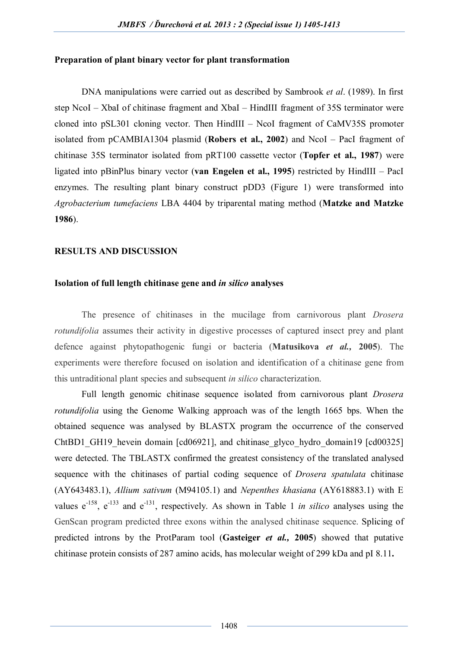#### **Preparation of plant binary vector for plant transformation**

DNA manipulations were carried out as described by Sambrook *et al*. (1989). In first step NcoI – XbaI of chitinase fragment and XbaI – HindIII fragment of 35S terminator were cloned into pSL301 cloning vector. Then HindIII – NcoI fragment of CaMV35S promoter isolated from pCAMBIA1304 plasmid (**Robers et al., 2002**) and NcoI – PacI fragment of chitinase 35S terminator isolated from pRT100 cassette vector (**Topfer et al., 1987**) were ligated into pBinPlus binary vector (**van Engelen et al., 1995**) restricted by HindIII – PacI enzymes. The resulting plant binary construct pDD3 (Figure 1) were transformed into *Agrobacterium tumefaciens* LBA 4404 by triparental mating method (**Matzke and Matzke 1986**).

# **RESULTS AND DISCUSSION**

#### **Isolation of full length chitinase gene and** *in silico* **analyses**

The presence of chitinases in the mucilage from carnivorous plant *Drosera rotundifolia* assumes their activity in digestive processes of captured insect prey and plant defence against phytopathogenic fungi or bacteria (**Matusikova** *et al.,* **2005**). The experiments were therefore focused on isolation and identification of a chitinase gene from this untraditional plant species and subsequent *in silico* characterization.

Full length genomic chitinase sequence isolated from carnivorous plant *Drosera rotundifolia* using the Genome Walking approach was of the length 1665 bps. When the obtained sequence was analysed by BLASTX program the occurrence of the conserved ChtBD1 GH19 hevein domain [cd06921], and chitinase glyco hydro domain19 [cd00325] were detected. The TBLASTX confirmed the greatest consistency of the translated analysed sequence with the chitinases of partial coding sequence of *Drosera spatulata* chitinase (AY643483.1), *Allium sativum* (M94105.1) and *Nepenthes khasiana* (AY618883.1) with E values  $e^{-158}$ ,  $e^{-133}$  and  $e^{-131}$ , respectively. As shown in Table 1 *in silico* analyses using the GenScan program predicted three exons within the analysed chitinase sequence. Splicing of predicted introns by the ProtParam tool (**Gasteiger** *et al.,* **2005**) showed that putative chitinase protein consists of 287 amino acids, has molecular weight of 299 kDa and pI 8.11**.**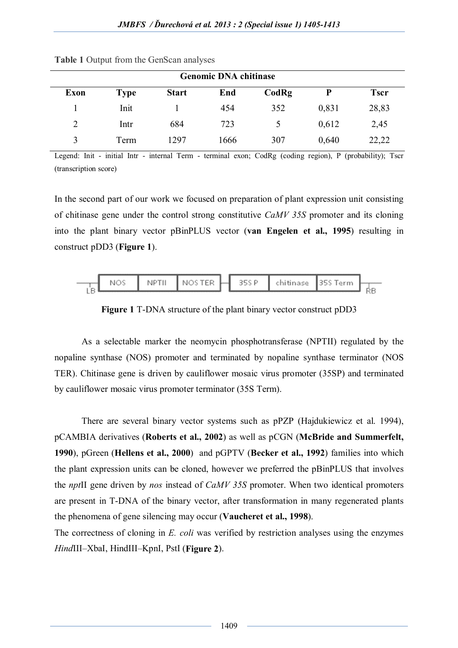| <b>Genomic DNA chitinase</b> |             |              |      |       |       |             |  |  |  |
|------------------------------|-------------|--------------|------|-------|-------|-------------|--|--|--|
| Exon                         | <b>Type</b> | <b>Start</b> | End  | CodRg | P     | <b>Tscr</b> |  |  |  |
|                              | Init        |              | 454  | 352   | 0,831 | 28,83       |  |  |  |
| 2                            | Intr        | 684          | 723  |       | 0,612 | 2,45        |  |  |  |
| 3                            | Term        | 1297         | 1666 | 307   | 0,640 | 22,22       |  |  |  |

**Table 1** Output from the GenScan analyses

Legend: Init - initial Intr - internal Term - terminal exon; CodRg (coding region), P (probability); Tscr (transcription score)

In the second part of our work we focused on preparation of plant expression unit consisting of chitinase gene under the control strong constitutive *CaMV 35S* promoter and its cloning into the plant binary vector pBinPLUS vector (**van Engelen et al., 1995**) resulting in construct pDD3 (**Figure 1**).



**Figure 1** T-DNA structure of the plant binary vector construct pDD3

As a selectable marker the neomycin phosphotransferase (NPTII) regulated by the nopaline synthase (NOS) promoter and terminated by nopaline synthase terminator (NOS TER). Chitinase gene is driven by cauliflower mosaic virus promoter (35SP) and terminated by cauliflower mosaic virus promoter terminator (35S Term).

There are several binary vector systems such as pPZP (Hajdukiewicz et al. 1994), pCAMBIA derivatives (**Roberts et al., 2002**) as well as pCGN (**McBride and Summerfelt, 1990**), pGreen (**Hellens et al., 2000**) and pGPTV (**Becker et al., 1992**) families into which the plant expression units can be cloned, however we preferred the pBinPLUS that involves the *npt*II gene driven by *nos* instead of *CaMV 35S* promoter. When two identical promoters are present in T-DNA of the binary vector, after transformation in many regenerated plants the phenomena of gene silencing may occur (**Vaucheret et al., 1998**).

The correctness of cloning in *E. coli* was verified by restriction analyses using the enzymes *Hind*III–XbaI, HindIII–KpnI, PstI (**Figure 2**).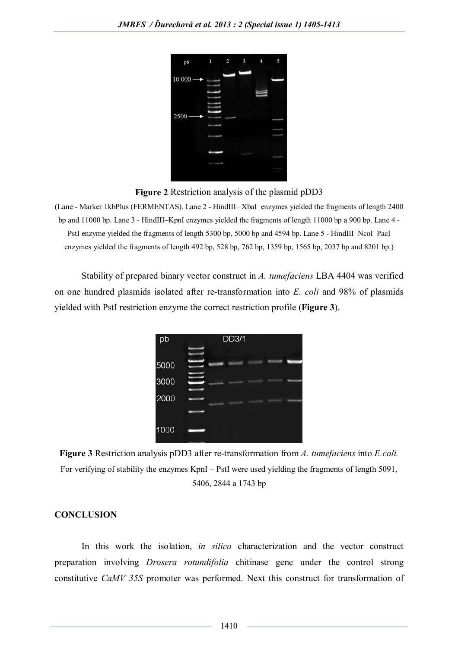| $\mathsf{pb}$       | 1 | $\overline{2}$ | 3 | 4 | 5 |
|---------------------|---|----------------|---|---|---|
| $10000 \rightarrow$ |   |                |   |   |   |
|                     |   |                |   |   |   |
| 2500                |   |                |   |   |   |
|                     |   |                |   |   |   |
|                     |   |                |   |   |   |
|                     |   |                |   |   |   |
|                     |   |                |   |   |   |

**Figure 2** Restriction analysis of the plasmid pDD3

(Lane - Marker 1kbPlus (FERMENTAS). Lane 2 - HindIII– XbaI enzymes yielded the fragments of length 2400 bp and 11000 bp. Lane 3 - HindIII–KpnI enzymes yielded the fragments of length 11000 bp a 900 bp. Lane 4 - PstI enzyme yielded the fragments of length 5300 bp, 5000 bp and 4594 bp. Lane 5 - HindIII–NcoI–PacI enzymes yielded the fragments of length 492 bp, 528 bp, 762 bp, 1359 bp, 1565 bp, 2037 bp and 8201 bp.)

Stability of prepared binary vector construct in *A. tumefaciens* LBA 4404 was verified on one hundred plasmids isolated after re-transformation into *E. coli* and 98% of plasmids yielded with PstI restriction enzyme the correct restriction profile (**Figure 3**).

| pb   | <b>DD3/1</b> |
|------|--------------|
|      |              |
| 5000 |              |
| 3000 |              |
| 2000 |              |
| 1000 |              |

**Figure 3** Restriction analysis pDD3 after re-transformation from *A. tumefaciens* into *E.coli.* For verifying of stability the enzymes KpnI – PstI were used yielding the fragments of length 5091, 5406, 2844 a 1743 bp

# **CONCLUSION**

In this work the isolation, *in silico* characterization and the vector construct preparation involving *Drosera rotundifolia* chitinase gene under the control strong constitutive *CaMV 35S* promoter was performed. Next this construct for transformation of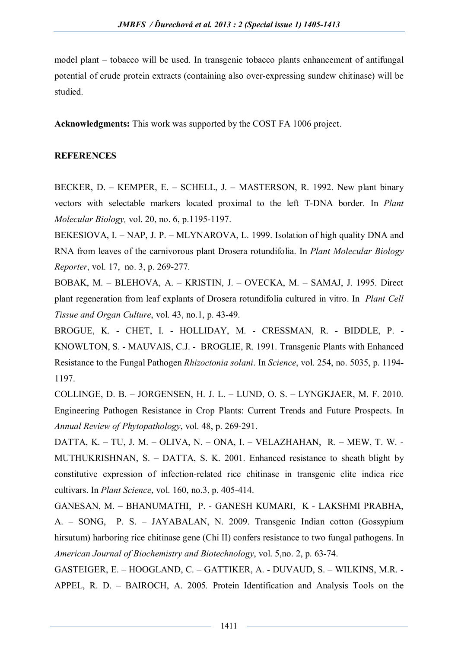model plant – tobacco will be used. In transgenic tobacco plants enhancement of antifungal potential of crude protein extracts (containing also over-expressing sundew chitinase) will be studied.

**Acknowledgments:** This work was supported by the COST FA 1006 project.

# **REFERENCES**

BECKER, D. – KEMPER, E. – SCHELL, J. – MASTERSON, R. 1992. New plant binary vectors with selectable markers located proximal to the left T-DNA border. In *Plant Molecular Biology,* vol. 20, no. 6, p.1195-1197.

BEKESIOVA, I. – NAP, J. P. – MLYNAROVA, L. 1999. Isolation of high quality DNA and RNA from leaves of the carnivorous plant Drosera rotundifolia. In *Plant Molecular Biology Reporter*, vol. 17, no. 3, p. 269-277.

BOBAK, M. – BLEHOVA, A. – KRISTIN, J. – OVECKA, M. – SAMAJ, J. 1995. Direct plant regeneration from leaf explants of Drosera rotundifolia cultured in vitro. In *Plant Cell Tissue and Organ Culture*, vol. 43, no.1, p. 43-49.

BROGUE, K. - CHET, I. - HOLLIDAY, M. - CRESSMAN, R. - BIDDLE, P. - KNOWLTON, S. - MAUVAIS, C.J. - BROGLIE, R. 1991. Transgenic Plants with Enhanced Resistance to the Fungal Pathogen *Rhizoctonia solani*. In *Science*, vol. 254, no. 5035, p. 1194- 1197.

COLLINGE, D. B. – JORGENSEN, H. J. L. – LUND, O. S. – LYNGKJAER, M. F. 2010. Engineering Pathogen Resistance in Crop Plants: Current Trends and Future Prospects. In *Annual Review of Phytopathology*, vol. 48, p. 269-291.

DATTA, K. – TU, J. M. – OLIVA, N. – ONA, I. – VELAZHAHAN, R. – MEW, T. W. - MUTHUKRISHNAN, S. – DATTA, S. K. 2001. Enhanced resistance to sheath blight by constitutive expression of infection-related rice chitinase in transgenic elite indica rice cultivars. In *Plant Science*, vol. 160, no.3, p. 405-414.

GANESAN, M. – BHANUMATHI, P. - GANESH KUMARI, K - LAKSHMI PRABHA, A. – SONG, P. S. – JAYABALAN, N. 2009. Transgenic Indian cotton (Gossypium hirsutum) harboring rice chitinase gene (Chi II) confers resistance to two fungal pathogens. In *American Journal of Biochemistry and Biotechnology*, vol. 5,no. 2, p. 63-74.

GASTEIGER, E. – HOOGLAND, C. – GATTIKER, A. - DUVAUD, S. – WILKINS, M.R. - APPEL, R. D. – BAIROCH, A. 2005*.* Protein Identification and Analysis Tools on the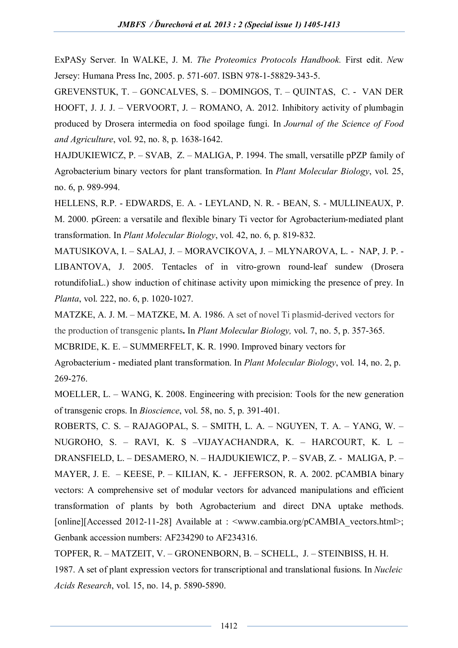ExPASy Server*.* In WALKE, J. M. *The Proteomics Protocols Handbook.* First edit. *Ne*w Jersey: Humana Press Inc, 2005. p. 571-607. ISBN 978-1-58829-343-5.

GREVENSTUK, T. – GONCALVES, S. – DOMINGOS, T. – QUINTAS, C. - VAN DER HOOFT, J. J. J. – VERVOORT, J. – ROMANO, A. 2012. Inhibitory activity of plumbagin produced by Drosera intermedia on food spoilage fungi. In *Journal of the Science of Food and Agriculture*, vol. 92, no. 8, p. 1638-1642.

HAJDUKIEWICZ, P. – SVAB, Z. – MALIGA, P. 1994. The small, versatille pPZP family of Agrobacterium binary vectors for plant transformation. In *Plant Molecular Biology*, vol. 25, no. 6, p. 989-994.

HELLENS, R.P. - EDWARDS, E. A. - LEYLAND, N. R. - BEAN, S. - MULLINEAUX, P. M. 2000. pGreen: a versatile and flexible binary Ti vector for Agrobacterium-mediated plant transformation. In *Plant Molecular Biology*, vol. 42, no. 6, p. 819-832.

MATUSIKOVA, I. – SALAJ, J. – MORAVCIKOVA, J. – MLYNAROVA, L. - NAP, J. P. - LIBANTOVA, J. 2005. Tentacles of in vitro-grown round-leaf sundew (Drosera rotundifoliaL.) show induction of chitinase activity upon mimicking the presence of prey. In *Planta*, vol. 222, no. 6, p. 1020-1027.

MATZKE, A. J. M. – MATZKE, M. A. 1986. A set of novel Ti plasmid-derived vectors for the production of transgenic plants**.** In *Plant Molecular Biology,* vol. 7, no. 5, p. 357-365.

MCBRIDE, K. E. – SUMMERFELT, K. R. 1990. Improved binary vectors for

Agrobacterium - mediated plant transformation. In *Plant Molecular Biology*, vol. 14, no. 2, p. 269-276.

MOELLER, L. – WANG, K. 2008. Engineering with precision: Tools for the new generation of transgenic crops. In *Bioscience*, vol. 58, no. 5, p. 391-401.

ROBERTS, C. S. – RAJAGOPAL, S. – SMITH, L. A. – NGUYEN, T. A. – YANG, W. – NUGROHO, S. – RAVI, K. S –VIJAYACHANDRA, K. – HARCOURT, K. L – DRANSFIELD, L. – DESAMERO, N. – HAJDUKIEWICZ, P. – SVAB, Z. - MALIGA, P. – MAYER, J. E. – KEESE, P. – KILIAN, K. - JEFFERSON, R. A. 2002. pCAMBIA binary vectors: A comprehensive set of modular vectors for advanced manipulations and efficient transformation of plants by both Agrobacterium and direct DNA uptake methods. [online][Accessed 2012-11-28] Available at : <www.cambia.org/pCAMBIA\_vectors.html>; Genbank accession numbers: AF234290 to AF234316.

TOPFER, R. – MATZEIT, V. – GRONENBORN, B. – SCHELL, J. – STEINBISS, H. H. 1987. A set of plant expression vectors for transcriptional and translational fusions. In *Nucleic Acids Research*, vol. 15, no. 14, p. 5890-5890.